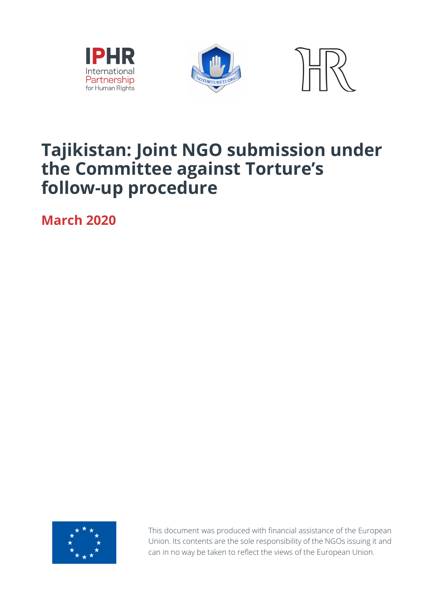





### **Tajikistan: Joint NGO submission under the Committee against Torture's follow-up procedure**

**March 2020**



This document was produced with financial assistance of the European Union. Its contents are the sole responsibility of the NGOs issuing it and can in no way be taken to reflect the views of the European Union.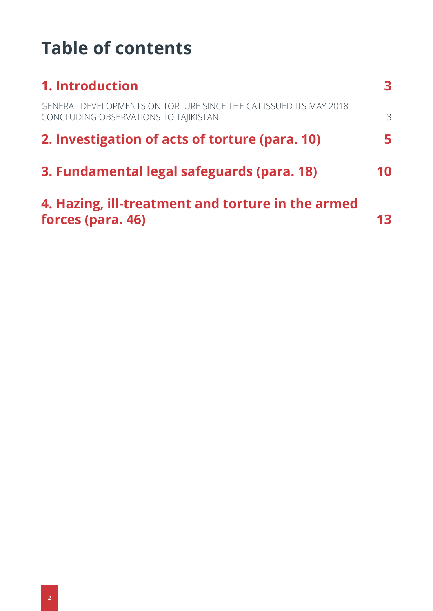## **Table of contents**

| <b>1. Introduction</b>                                                                                     |    |
|------------------------------------------------------------------------------------------------------------|----|
| GENERAL DEVELOPMENTS ON TORTURE SINCE THE CAT ISSUED ITS MAY 2018<br>CONCLUDING OBSERVATIONS TO TAIIKISTAN | 3  |
| 2. Investigation of acts of torture (para. 10)                                                             |    |
| 3. Fundamental legal safeguards (para. 18)                                                                 | 10 |
| 4. Hazing, ill-treatment and torture in the armed<br>forces (para. 46)                                     |    |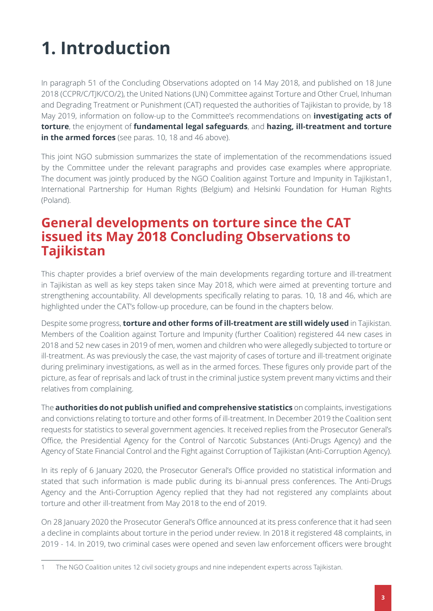# <span id="page-2-0"></span>**1. Introduction**

In paragraph 51 of the Concluding Observations adopted on 14 May 2018, and published on 18 June 2018 (CCPR/C/TJK/CO/2), the United Nations (UN) Committee against Torture and Other Cruel, Inhuman and Degrading Treatment or Punishment (CAT) requested the authorities of Tajikistan to provide, by 18 May 2019, information on follow-up to the Committee's recommendations on **investigating acts of torture**, the enjoyment of **fundamental legal safeguards**, and **hazing, ill-treatment and torture in the armed forces** (see paras. 10, 18 and 46 above).

This joint NGO submission summarizes the state of implementation of the recommendations issued by the Committee under the relevant paragraphs and provides case examples where appropriate. The document was jointly produced by the NGO Coalition against Torture and Impunity in Tajikistan1, International Partnership for Human Rights (Belgium) and Helsinki Foundation for Human Rights (Poland).

### <span id="page-2-1"></span>**General developments on torture since the CAT issued its May 2018 Concluding Observations to Tajikistan**

This chapter provides a brief overview of the main developments regarding torture and ill-treatment in Tajikistan as well as key steps taken since May 2018, which were aimed at preventing torture and strengthening accountability. All developments specifically relating to paras. 10, 18 and 46, which are highlighted under the CAT's follow-up procedure, can be found in the chapters below.

Despite some progress, **torture and other forms of ill-treatment are still widely used** in Tajikistan. Members of the Coalition against Torture and Impunity (further Coalition) registered 44 new cases in 2018 and 52 new cases in 2019 of men, women and children who were allegedly subjected to torture or ill-treatment. As was previously the case, the vast majority of cases of torture and ill-treatment originate during preliminary investigations, as well as in the armed forces. These figures only provide part of the picture, as fear of reprisals and lack of trust in the criminal justice system prevent many victims and their relatives from complaining.

The **authorities do not publish unified and comprehensive statistics** on complaints, investigations and convictions relating to torture and other forms of ill-treatment. In December 2019 the Coalition sent requests for statistics to several government agencies. It received replies from the Prosecutor General's Office, the Presidential Agency for the Control of Narcotic Substances (Anti-Drugs Agency) and the Agency of State Financial Control and the Fight against Corruption of Tajikistan (Anti-Corruption Agency).

In its reply of 6 January 2020, the Prosecutor General's Office provided no statistical information and stated that such information is made public during its bi-annual press conferences. The Anti-Drugs Agency and the Anti-Corruption Agency replied that they had not registered any complaints about torture and other ill-treatment from May 2018 to the end of 2019.

On 28 January 2020 the Prosecutor General's Office announced at its press conference that it had seen a decline in complaints about torture in the period under review. In 2018 it registered 48 complaints, in 2019 - 14. In 2019, two criminal cases were opened and seven law enforcement officers were brought

<sup>1</sup> The NGO Coalition unites 12 civil society groups and nine independent experts across Tajikistan.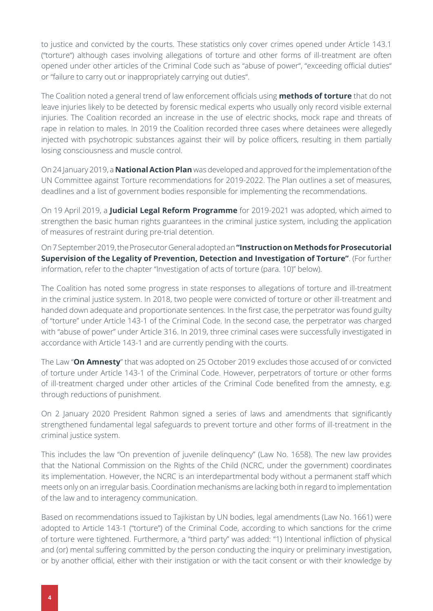to justice and convicted by the courts. These statistics only cover crimes opened under Article 143.1 ("torture") although cases involving allegations of torture and other forms of ill-treatment are often opened under other articles of the Criminal Code such as "abuse of power", "exceeding official duties" or "failure to carry out or inappropriately carrying out duties".

The Coalition noted a general trend of law enforcement officials using **methods of torture** that do not leave injuries likely to be detected by forensic medical experts who usually only record visible external injuries. The Coalition recorded an increase in the use of electric shocks, mock rape and threats of rape in relation to males. In 2019 the Coalition recorded three cases where detainees were allegedly injected with psychotropic substances against their will by police officers, resulting in them partially losing consciousness and muscle control.

On 24 January 2019, a **National Action Plan** was developed and approved for the implementation of the UN Committee against Torture recommendations for 2019-2022. The Plan outlines a set of measures, deadlines and a list of government bodies responsible for implementing the recommendations.

On 19 April 2019, a **Judicial Legal Reform Programme** for 2019-2021 was adopted, which aimed to strengthen the basic human rights guarantees in the criminal justice system, including the application of measures of restraint during pre-trial detention.

On 7 September 2019, the Prosecutor General adopted an **"Instruction on Methods for Prosecutorial Supervision of the Legality of Prevention, Detection and Investigation of Torture"**. (For further information, refer to the chapter "Investigation of acts of torture (para. 10)" below).

The Coalition has noted some progress in state responses to allegations of torture and ill-treatment in the criminal justice system. In 2018, two people were convicted of torture or other ill-treatment and handed down adequate and proportionate sentences. In the first case, the perpetrator was found guilty of "torture" under Article 143-1 of the Criminal Code. In the second case, the perpetrator was charged with "abuse of power" under Article 316. In 2019, three criminal cases were successfully investigated in accordance with Article 143-1 and are currently pending with the courts.

The Law "**On Amnesty**" that was adopted on 25 October 2019 excludes those accused of or convicted of torture under Article 143-1 of the Criminal Code. However, perpetrators of torture or other forms of ill-treatment charged under other articles of the Criminal Code benefited from the amnesty, e.g. through reductions of punishment.

On 2 January 2020 President Rahmon signed a series of laws and amendments that significantly strengthened fundamental legal safeguards to prevent torture and other forms of ill-treatment in the criminal justice system.

This includes the law "On prevention of juvenile delinquency" (Law No. 1658). The new law provides that the National Commission on the Rights of the Child (NCRC, under the government) coordinates its implementation. However, the NCRC is an interdepartmental body without a permanent staff which meets only on an irregular basis. Coordination mechanisms are lacking both in regard to implementation of the law and to interagency communication.

Based on recommendations issued to Tajikistan by UN bodies, legal amendments (Law No. 1661) were adopted to Article 143-1 ("torture") of the Criminal Code, according to which sanctions for the crime of torture were tightened. Furthermore, a "third party" was added: "1) Intentional infliction of physical and (or) mental suffering committed by the person conducting the inquiry or preliminary investigation, or by another official, either with their instigation or with the tacit consent or with their knowledge by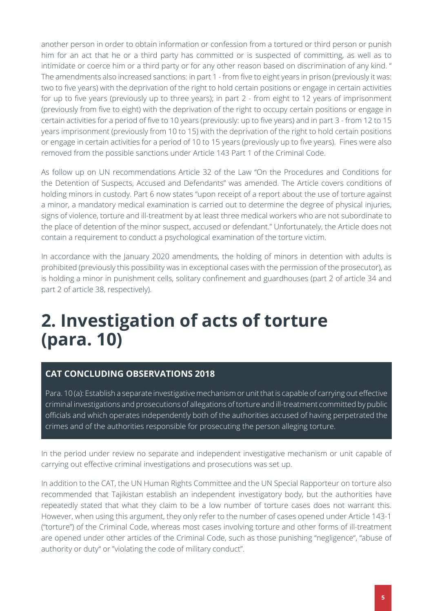another person in order to obtain information or confession from a tortured or third person or punish him for an act that he or a third party has committed or is suspected of committing, as well as to intimidate or coerce him or a third party or for any other reason based on discrimination of any kind. " The amendments also increased sanctions: in part 1 - from five to eight years in prison (previously it was: two to five years) with the deprivation of the right to hold certain positions or engage in certain activities for up to five years (previously up to three years); in part 2 - from eight to 12 years of imprisonment (previously from five to eight) with the deprivation of the right to occupy certain positions or engage in certain activities for a period of five to 10 years (previously: up to five years) and in part 3 - from 12 to 15 years imprisonment (previously from 10 to 15) with the deprivation of the right to hold certain positions or engage in certain activities for a period of 10 to 15 years (previously up to five years). Fines were also removed from the possible sanctions under Article 143 Part 1 of the Criminal Code.

As follow up on UN recommendations Article 32 of the Law "On the Procedures and Conditions for the Detention of Suspects, Accused and Defendants" was amended. The Article covers conditions of holding minors in custody. Part 6 now states "upon receipt of a report about the use of torture against a minor, a mandatory medical examination is carried out to determine the degree of physical injuries, signs of violence, torture and ill-treatment by at least three medical workers who are not subordinate to the place of detention of the minor suspect, accused or defendant." Unfortunately, the Article does not contain a requirement to conduct a psychological examination of the torture victim.

In accordance with the January 2020 amendments, the holding of minors in detention with adults is prohibited (previously this possibility was in exceptional cases with the permission of the prosecutor), as is holding a minor in punishment cells, solitary confinement and guardhouses (part 2 of article 34 and part 2 of article 38, respectively).

## <span id="page-4-0"></span>**2. Investigation of acts of torture (para. 10)**

#### **CAT CONCLUDING OBSERVATIONS 2018**

Para. 10 (a): Establish a separate investigative mechanism or unit that is capable of carrying out effective criminal investigations and prosecutions of allegations of torture and ill-treatment committed by public officials and which operates independently both of the authorities accused of having perpetrated the crimes and of the authorities responsible for prosecuting the person alleging torture.

In the period under review no separate and independent investigative mechanism or unit capable of carrying out effective criminal investigations and prosecutions was set up.

In addition to the CAT, the UN Human Rights Committee and the UN Special Rapporteur on torture also recommended that Tajikistan establish an independent investigatory body, but the authorities have repeatedly stated that what they claim to be a low number of torture cases does not warrant this. However, when using this argument, they only refer to the number of cases opened under Article 143-1 ("torture") of the Criminal Code, whereas most cases involving torture and other forms of ill-treatment are opened under other articles of the Criminal Code, such as those punishing "negligence", "abuse of authority or duty" or "violating the code of military conduct".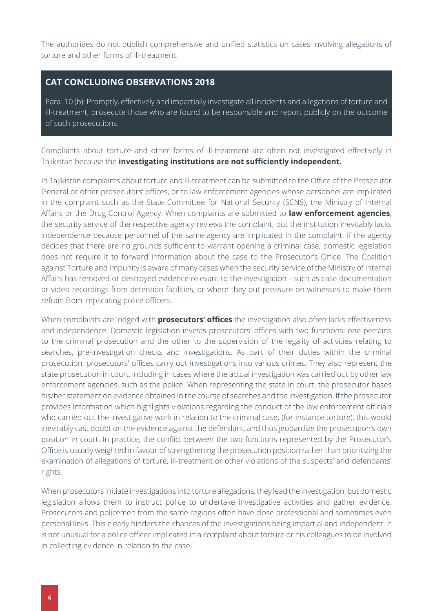The authorities do not publish comprehensive and unified statistics on cases involving allegations of torture and other forms of ill-treatment.

#### **CAT CONCLUDING OBSERVATIONS 2018**

Para. 10 (b): Promptly, effectively and impartially investigate all incidents and allegations of torture and ill-treatment, prosecute those who are found to be responsible and report publicly on the outcome of such prosecutions.

Complaints about torture and other forms of ill-treatment are often not investigated effectively in Tajikistan because the **investigating institutions are not sufficiently independent.**

In Tajikistan complaints about torture and ill-treatment can be submitted to the Office of the Prosecutor General or other prosecutors' offices, or to law enforcement agencies whose personnel are implicated in the complaint such as the State Committee for National Security (SCNS), the Ministry of Internal Affairs or the Drug Control Agency. When complaints are submitted to **law enforcement agencies**, the security service of the respective agency reviews the complaint, but the institution inevitably lacks independence because personnel of the same agency are implicated in the complaint. If the agency decides that there are no grounds sufficient to warrant opening a criminal case, domestic legislation does not require it to forward information about the case to the Prosecutor's Office. The Coalition against Torture and Impunity is aware of many cases when the security service of the Ministry of Internal Affairs has removed or destroyed evidence relevant to the investigation - such as case documentation or video recordings from detention facilities, or where they put pressure on witnesses to make them refrain from implicating police officers.

When complaints are lodged with **prosecutors' offices** the investigation also often lacks effectiveness and independence. Domestic legislation invests prosecutors' offices with two functions: one pertains to the criminal prosecution and the other to the supervision of the legality of activities relating to searches, pre-investigation checks and investigations. As part of their duties within the criminal prosecution, prosecutors' offices carry out investigations into various crimes. They also represent the state prosecution in court, including in cases where the actual investigation was carried out by other law enforcement agencies, such as the police. When representing the state in court, the prosecutor bases his/her statement on evidence obtained in the course of searches and the investigation. If the prosecutor provides information which highlights violations regarding the conduct of the law enforcement officials who carried out the investigative work in relation to the criminal case, (for instance torture), this would inevitably cast doubt on the evidence against the defendant, and thus jeopardize the prosecution's own position in court. In practice, the conflict between the two functions represented by the Prosecutor's Office is usually weighted in favour of strengthening the prosecution position rather than prioritizing the examination of allegations of torture, ill-treatment or other violations of the suspects' and defendants' rights.

When prosecutors initiate investigations into torture allegations, they lead the investigation, but domestic legislation allows them to instruct police to undertake investigative activities and gather evidence. Prosecutors and policemen from the same regions often have close professional and sometimes even personal links. This clearly hinders the chances of the investigations being impartial and independent. It is not unusual for a police officer implicated in a complaint about torture or his colleagues to be involved in collecting evidence in relation to the case.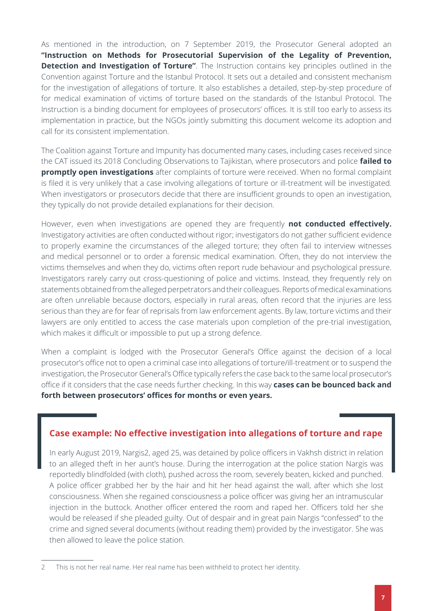As mentioned in the introduction, on 7 September 2019, the Prosecutor General adopted an **"Instruction on Methods for Prosecutorial Supervision of the Legality of Prevention, Detection and Investigation of Torture"**. The Instruction contains key principles outlined in the Convention against Torture and the Istanbul Protocol. It sets out a detailed and consistent mechanism for the investigation of allegations of torture. It also establishes a detailed, step-by-step procedure of for medical examination of victims of torture based on the standards of the Istanbul Protocol. The Instruction is a binding document for employees of prosecutors' offices. It is still too early to assess its implementation in practice, but the NGOs jointly submitting this document welcome its adoption and call for its consistent implementation.

The Coalition against Torture and Impunity has documented many cases, including cases received since the CAT issued its 2018 Concluding Observations to Tajikistan, where prosecutors and police **failed to promptly open investigations** after complaints of torture were received. When no formal complaint is filed it is very unlikely that a case involving allegations of torture or ill-treatment will be investigated. When investigators or prosecutors decide that there are insufficient grounds to open an investigation, they typically do not provide detailed explanations for their decision.

However, even when investigations are opened they are frequently **not conducted effectively.** Investigatory activities are often conducted without rigor; investigators do not gather sufficient evidence to properly examine the circumstances of the alleged torture; they often fail to interview witnesses and medical personnel or to order a forensic medical examination. Often, they do not interview the victims themselves and when they do, victims often report rude behaviour and psychological pressure. Investigators rarely carry out cross-questioning of police and victims. Instead, they frequently rely on statements obtained from the alleged perpetrators and their colleagues. Reports of medical examinations are often unreliable because doctors, especially in rural areas, often record that the injuries are less serious than they are for fear of reprisals from law enforcement agents. By law, torture victims and their lawyers are only entitled to access the case materials upon completion of the pre-trial investigation, which makes it difficult or impossible to put up a strong defence.

When a complaint is lodged with the Prosecutor General's Office against the decision of a local prosecutor's office not to open a criminal case into allegations of torture/ill-treatment or to suspend the investigation, the Prosecutor General's Office typically refers the case back to the same local prosecutor's office if it considers that the case needs further checking. In this way **cases can be bounced back and forth between prosecutors' offices for months or even years.**

#### **Case example: No effective investigation into allegations of torture and rape**

In early August 2019, Nargis2, aged 25, was detained by police officers in Vakhsh district in relation to an alleged theft in her aunt's house. During the interrogation at the police station Nargis was reportedly blindfolded (with cloth), pushed across the room, severely beaten, kicked and punched. A police officer grabbed her by the hair and hit her head against the wall, after which she lost consciousness. When she regained consciousness a police officer was giving her an intramuscular injection in the buttock. Another officer entered the room and raped her. Officers told her she would be released if she pleaded guilty. Out of despair and in great pain Nargis "confessed" to the crime and signed several documents (without reading them) provided by the investigator. She was then allowed to leave the police station.

<sup>2</sup> This is not her real name. Her real name has been withheld to protect her identity.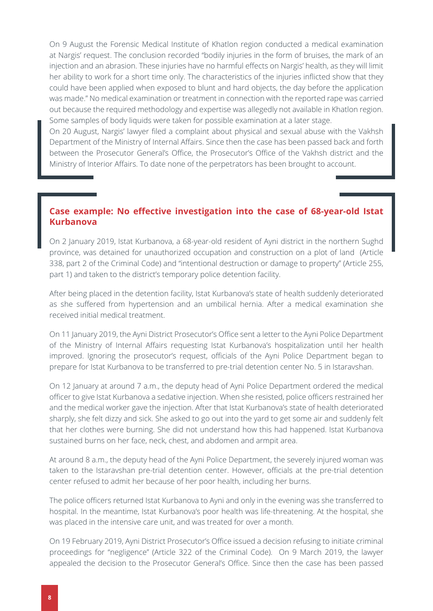On 9 August the Forensic Medical Institute of Khatlon region conducted a medical examination at Nargis' request. The conclusion recorded "bodily injuries in the form of bruises, the mark of an injection and an abrasion. These injuries have no harmful effects on Nargis' health, as they will limit her ability to work for a short time only. The characteristics of the injuries inflicted show that they could have been applied when exposed to blunt and hard objects, the day before the application was made." No medical examination or treatment in connection with the reported rape was carried out because the required methodology and expertise was allegedly not available in Khatlon region. Some samples of body liquids were taken for possible examination at a later stage.

On 20 August, Nargis' lawyer filed a complaint about physical and sexual abuse with the Vakhsh Department of the Ministry of Internal Affairs. Since then the case has been passed back and forth between the Prosecutor General's Office, the Prosecutor's Office of the Vakhsh district and the Ministry of Interior Affairs. To date none of the perpetrators has been brought to account.

#### **Case example: No effective investigation into the case of 68-year-old Istat Kurbanova**

On 2 January 2019, Istat Kurbanova, a 68-year-old resident of Ayni district in the northern Sughd province, was detained for unauthorized occupation and construction on a plot of land (Article 338, part 2 of the Criminal Code) and "intentional destruction or damage to property" (Article 255, part 1) and taken to the district's temporary police detention facility.

After being placed in the detention facility, Istat Kurbanova's state of health suddenly deteriorated as she suffered from hypertension and an umbilical hernia. After a medical examination she received initial medical treatment.

On 11 January 2019, the Ayni District Prosecutor's Office sent a letter to the Ayni Police Department of the Ministry of Internal Affairs requesting Istat Kurbanova's hospitalization until her health improved. Ignoring the prosecutor's request, officials of the Ayni Police Department began to prepare for Istat Kurbanova to be transferred to pre-trial detention center No. 5 in Istaravshan.

On 12 January at around 7 a.m., the deputy head of Ayni Police Department ordered the medical officer to give Istat Kurbanova a sedative injection. When she resisted, police officers restrained her and the medical worker gave the injection. After that Istat Kurbanova's state of health deteriorated sharply, she felt dizzy and sick. She asked to go out into the yard to get some air and suddenly felt that her clothes were burning. She did not understand how this had happened. Istat Kurbanova sustained burns on her face, neck, chest, and abdomen and armpit area.

At around 8 a.m., the deputy head of the Ayni Police Department, the severely injured woman was taken to the Istaravshan pre-trial detention center. However, officials at the pre-trial detention center refused to admit her because of her poor health, including her burns.

The police officers returned Istat Kurbanova to Ayni and only in the evening was she transferred to hospital. In the meantime, Istat Kurbanova's poor health was life-threatening. At the hospital, she was placed in the intensive care unit, and was treated for over a month.

On 19 February 2019, Ayni District Prosecutor's Office issued a decision refusing to initiate criminal proceedings for "negligence" (Article 322 of the Criminal Code). On 9 March 2019, the lawyer appealed the decision to the Prosecutor General's Office. Since then the case has been passed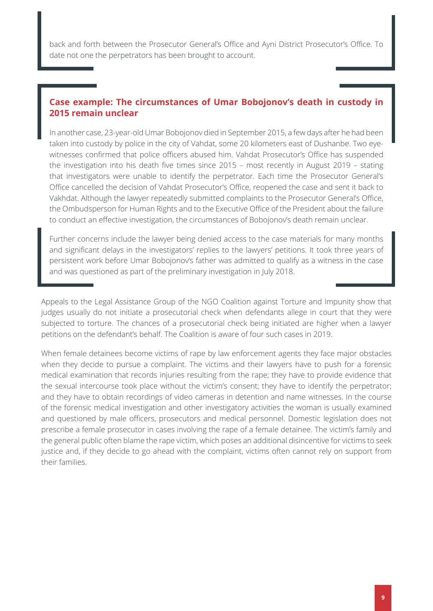back and forth between the Prosecutor General's Office and Ayni District Prosecutor's Office. To date not one the perpetrators has been brought to account.

#### **Case example: The circumstances of Umar Bobojonov's death in custody in 2015 remain unclear**

In another case, 23-year-old Umar Bobojonov died in September 2015, a few days after he had been taken into custody by police in the city of Vahdat, some 20 kilometers east of Dushanbe. Two eyewitnesses confirmed that police officers abused him. Vahdat Prosecutor's Office has suspended the investigation into his death five times since 2015 – most recently in August 2019 – stating that investigators were unable to identify the perpetrator. Each time the Prosecutor General's Office cancelled the decision of Vahdat Prosecutor's Office, reopened the case and sent it back to Vakhdat. Although the lawyer repeatedly submitted complaints to the Prosecutor General's Office, the Ombudsperson for Human Rights and to the Executive Office of the President about the failure to conduct an effective investigation, the circumstances of Bobojonov's death remain unclear.

Further concerns include the lawyer being denied access to the case materials for many months and significant delays in the investigators' replies to the lawyers' petitions. It took three years of persistent work before Umar Bobojonov's father was admitted to qualify as a witness in the case and was questioned as part of the preliminary investigation in July 2018.

Appeals to the Legal Assistance Group of the NGO Coalition against Torture and Impunity show that judges usually do not initiate a prosecutorial check when defendants allege in court that they were subjected to torture. The chances of a prosecutorial check being initiated are higher when a lawyer petitions on the defendant's behalf. The Coalition is aware of four such cases in 2019.

When female detainees become victims of rape by law enforcement agents they face major obstacles when they decide to pursue a complaint. The victims and their lawyers have to push for a forensic medical examination that records injuries resulting from the rape; they have to provide evidence that the sexual intercourse took place without the victim's consent; they have to identify the perpetrator; and they have to obtain recordings of video cameras in detention and name witnesses. In the course of the forensic medical investigation and other investigatory activities the woman is usually examined and questioned by male officers, prosecutors and medical personnel. Domestic legislation does not prescribe a female prosecutor in cases involving the rape of a female detainee. The victim's family and the general public often blame the rape victim, which poses an additional disincentive for victims to seek justice and, if they decide to go ahead with the complaint, victims often cannot rely on support from their families.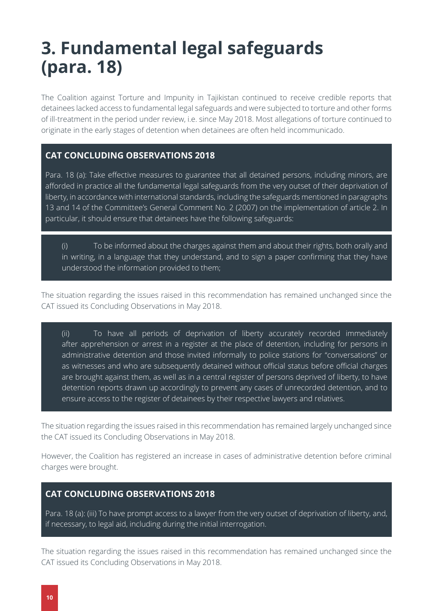### <span id="page-9-0"></span>**3. Fundamental legal safeguards (para. 18)**

The Coalition against Torture and Impunity in Tajikistan continued to receive credible reports that detainees lacked access to fundamental legal safeguards and were subjected to torture and other forms of ill-treatment in the period under review, i.e. since May 2018. Most allegations of torture continued to originate in the early stages of detention when detainees are often held incommunicado.

#### **CAT CONCLUDING OBSERVATIONS 2018**

Para. 18 (a): Take effective measures to guarantee that all detained persons, including minors, are afforded in practice all the fundamental legal safeguards from the very outset of their deprivation of liberty, in accordance with international standards, including the safeguards mentioned in paragraphs 13 and 14 of the Committee's General Comment No. 2 (2007) on the implementation of article 2. In particular, it should ensure that detainees have the following safeguards:

(i) To be informed about the charges against them and about their rights, both orally and in writing, in a language that they understand, and to sign a paper confirming that they have understood the information provided to them;

The situation regarding the issues raised in this recommendation has remained unchanged since the CAT issued its Concluding Observations in May 2018.

(ii) To have all periods of deprivation of liberty accurately recorded immediately after apprehension or arrest in a register at the place of detention, including for persons in administrative detention and those invited informally to police stations for "conversations" or as witnesses and who are subsequently detained without official status before official charges are brought against them, as well as in a central register of persons deprived of liberty, to have detention reports drawn up accordingly to prevent any cases of unrecorded detention, and to ensure access to the register of detainees by their respective lawyers and relatives.

The situation regarding the issues raised in this recommendation has remained largely unchanged since the CAT issued its Concluding Observations in May 2018.

However, the Coalition has registered an increase in cases of administrative detention before criminal charges were brought.

#### **CAT CONCLUDING OBSERVATIONS 2018**

Para. 18 (a): (iii) To have prompt access to a lawyer from the very outset of deprivation of liberty, and, if necessary, to legal aid, including during the initial interrogation.

The situation regarding the issues raised in this recommendation has remained unchanged since the CAT issued its Concluding Observations in May 2018.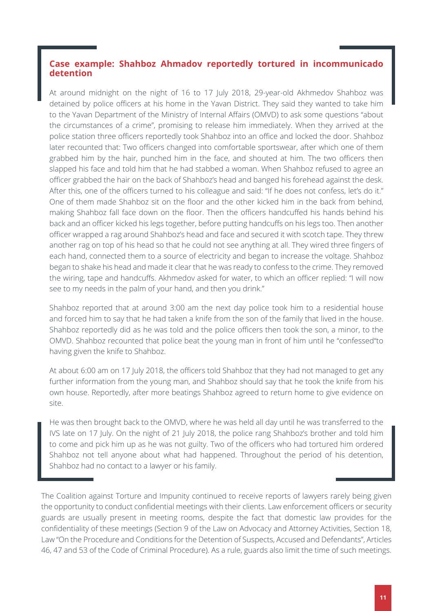#### **Case example: Shahboz Ahmadov reportedly tortured in incommunicado detention**

At around midnight on the night of 16 to 17 July 2018, 29-year-old Akhmedov Shahboz was detained by police officers at his home in the Yavan District. They said they wanted to take him to the Yavan Department of the Ministry of Internal Affairs (OMVD) to ask some questions "about the circumstances of a crime", promising to release him immediately. When they arrived at the police station three officers reportedly took Shahboz into an office and locked the door. Shahboz later recounted that: Two officers changed into comfortable sportswear, after which one of them grabbed him by the hair, punched him in the face, and shouted at him. The two officers then slapped his face and told him that he had stabbed a woman. When Shahboz refused to agree an officer grabbed the hair on the back of Shahboz's head and banged his forehead against the desk. After this, one of the officers turned to his colleague and said: "If he does not confess, let's do it." One of them made Shahboz sit on the floor and the other kicked him in the back from behind, making Shahboz fall face down on the floor. Then the officers handcuffed his hands behind his back and an officer kicked his legs together, before putting handcuffs on his legs too. Then another officer wrapped a rag around Shahboz's head and face and secured it with scotch tape. They threw another rag on top of his head so that he could not see anything at all. They wired three fingers of each hand, connected them to a source of electricity and began to increase the voltage. Shahboz began to shake his head and made it clear that he was ready to confess to the crime. They removed the wiring, tape and handcuffs. Akhmedov asked for water, to which an officer replied: "I will now see to my needs in the palm of your hand, and then you drink."

Shahboz reported that at around 3:00 am the next day police took him to a residential house and forced him to say that he had taken a knife from the son of the family that lived in the house. Shahboz reportedly did as he was told and the police officers then took the son, a minor, to the OMVD. Shahboz recounted that police beat the young man in front of him until he "confessed"to having given the knife to Shahboz.

At about 6:00 am on 17 July 2018, the officers told Shahboz that they had not managed to get any further information from the young man, and Shahboz should say that he took the knife from his own house. Reportedly, after more beatings Shahboz agreed to return home to give evidence on site.

He was then brought back to the OMVD, where he was held all day until he was transferred to the IVS late on 17 July. On the night of 21 July 2018, the police rang Shahboz's brother and told him to come and pick him up as he was not guilty. Two of the officers who had tortured him ordered Shahboz not tell anyone about what had happened. Throughout the period of his detention, Shahboz had no contact to a lawyer or his family.

The Coalition against Torture and Impunity continued to receive reports of lawyers rarely being given the opportunity to conduct confidential meetings with their clients. Law enforcement officers or security guards are usually present in meeting rooms, despite the fact that domestic law provides for the confidentiality of these meetings (Section 9 of the Law on Advocacy and Attorney Activities, Section 18, Law "On the Procedure and Conditions for the Detention of Suspects, Accused and Defendants", Articles 46, 47 and 53 of the Code of Criminal Procedure). As a rule, guards also limit the time of such meetings.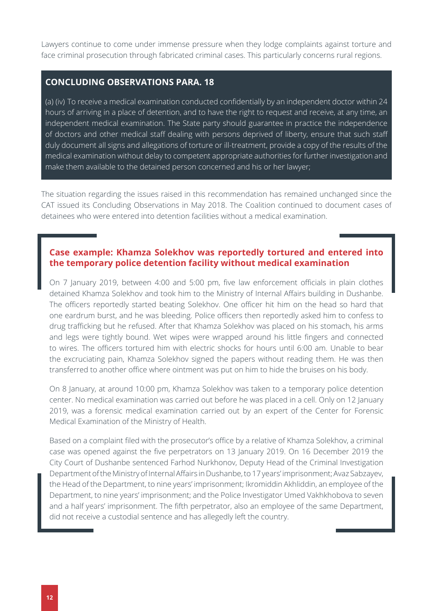Lawyers continue to come under immense pressure when they lodge complaints against torture and face criminal prosecution through fabricated criminal cases. This particularly concerns rural regions.

#### **CONCLUDING OBSERVATIONS PARA. 18**

(a) (iv) To receive a medical examination conducted confidentially by an independent doctor within 24 hours of arriving in a place of detention, and to have the right to request and receive, at any time, an independent medical examination. The State party should guarantee in practice the independence of doctors and other medical staff dealing with persons deprived of liberty, ensure that such staff duly document all signs and allegations of torture or ill-treatment, provide a copy of the results of the medical examination without delay to competent appropriate authorities for further investigation and make them available to the detained person concerned and his or her lawyer;

The situation regarding the issues raised in this recommendation has remained unchanged since the CAT issued its Concluding Observations in May 2018. The Coalition continued to document cases of detainees who were entered into detention facilities without a medical examination.

#### **Case example: Khamza Solekhov was reportedly tortured and entered into the temporary police detention facility without medical examination**

On 7 January 2019, between 4:00 and 5:00 pm, five law enforcement officials in plain clothes detained Khamza Solekhov and took him to the Ministry of Internal Affairs building in Dushanbe. The officers reportedly started beating Solekhov. One officer hit him on the head so hard that one eardrum burst, and he was bleeding. Police officers then reportedly asked him to confess to drug trafficking but he refused. After that Khamza Solekhov was placed on his stomach, his arms and legs were tightly bound. Wet wipes were wrapped around his little fingers and connected to wires. The officers tortured him with electric shocks for hours until 6:00 am. Unable to bear the excruciating pain, Khamza Solekhov signed the papers without reading them. He was then transferred to another office where ointment was put on him to hide the bruises on his body.

On 8 January, at around 10:00 pm, Khamza Solekhov was taken to a temporary police detention center. No medical examination was carried out before he was placed in a cell. Only on 12 January 2019, was a forensic medical examination carried out by an expert of the Center for Forensic Medical Examination of the Ministry of Health.

Based on a complaint filed with the prosecutor's office by a relative of Khamza Solekhov, a criminal case was opened against the five perpetrators on 13 January 2019. On 16 December 2019 the City Court of Dushanbe sentenced Farhod Nurkhonov, Deputy Head of the Criminal Investigation Department of the Ministry of Internal Affairs in Dushanbe, to 17 years' imprisonment; Avaz Sabzayev, the Head of the Department, to nine years' imprisonment; Ikromiddin Akhliddin, an employee of the Department, to nine years' imprisonment; and the Police Investigator Umed Vakhkhobova to seven and a half years' imprisonment. The fifth perpetrator, also an employee of the same Department, did not receive a custodial sentence and has allegedly left the country.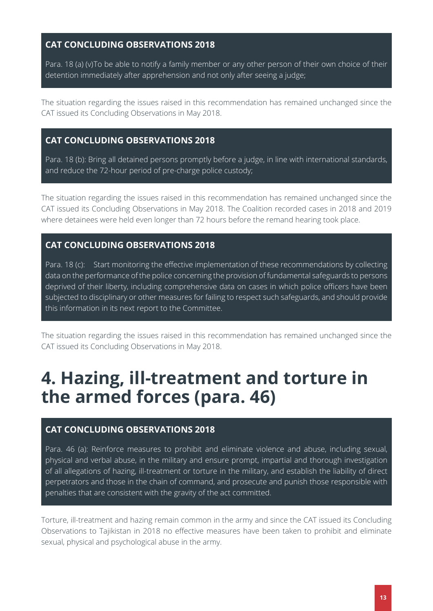#### **CAT CONCLUDING OBSERVATIONS 2018**

Para. 18 (a) (v)To be able to notify a family member or any other person of their own choice of their detention immediately after apprehension and not only after seeing a judge;

The situation regarding the issues raised in this recommendation has remained unchanged since the CAT issued its Concluding Observations in May 2018.

#### **CAT CONCLUDING OBSERVATIONS 2018**

Para. 18 (b): Bring all detained persons promptly before a judge, in line with international standards, and reduce the 72-hour period of pre-charge police custody;

The situation regarding the issues raised in this recommendation has remained unchanged since the CAT issued its Concluding Observations in May 2018. The Coalition recorded cases in 2018 and 2019 where detainees were held even longer than 72 hours before the remand hearing took place.

#### **CAT CONCLUDING OBSERVATIONS 2018**

Para. 18 (c): Start monitoring the effective implementation of these recommendations by collecting data on the performance of the police concerning the provision of fundamental safeguards to persons deprived of their liberty, including comprehensive data on cases in which police officers have been subjected to disciplinary or other measures for failing to respect such safeguards, and should provide this information in its next report to the Committee.

The situation regarding the issues raised in this recommendation has remained unchanged since the CAT issued its Concluding Observations in May 2018.

### <span id="page-12-0"></span>**4. Hazing, ill-treatment and torture in the armed forces (para. 46)**

#### **CAT CONCLUDING OBSERVATIONS 2018**

Para. 46 (a): Reinforce measures to prohibit and eliminate violence and abuse, including sexual, physical and verbal abuse, in the military and ensure prompt, impartial and thorough investigation of all allegations of hazing, ill-treatment or torture in the military, and establish the liability of direct perpetrators and those in the chain of command, and prosecute and punish those responsible with penalties that are consistent with the gravity of the act committed.

Torture, ill-treatment and hazing remain common in the army and since the CAT issued its Concluding Observations to Tajikistan in 2018 no effective measures have been taken to prohibit and eliminate sexual, physical and psychological abuse in the army.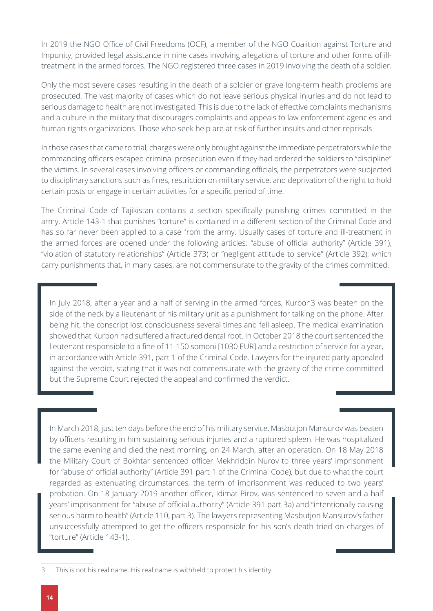In 2019 the NGO Office of Civil Freedoms (OCF), a member of the NGO Coalition against Torture and Impunity, provided legal assistance in nine cases involving allegations of torture and other forms of illtreatment in the armed forces. The NGO registered three cases in 2019 involving the death of a soldier.

Only the most severe cases resulting in the death of a soldier or grave long-term health problems are prosecuted. The vast majority of cases which do not leave serious physical injuries and do not lead to serious damage to health are not investigated. This is due to the lack of effective complaints mechanisms and a culture in the military that discourages complaints and appeals to law enforcement agencies and human rights organizations. Those who seek help are at risk of further insults and other reprisals.

In those cases that came to trial, charges were only brought against the immediate perpetrators while the commanding officers escaped criminal prosecution even if they had ordered the soldiers to "discipline" the victims. In several cases involving officers or commanding officials, the perpetrators were subjected to disciplinary sanctions such as fines, restriction on military service, and deprivation of the right to hold certain posts or engage in certain activities for a specific period of time.

The Criminal Code of Tajikistan contains a section specifically punishing crimes committed in the army. Article 143-1 that punishes "torture" is contained in a different section of the Criminal Code and has so far never been applied to a case from the army. Usually cases of torture and ill-treatment in the armed forces are opened under the following articles: "abuse of official authority" (Article 391), "violation of statutory relationships" (Article 373) or "negligent attitude to service" (Article 392), which carry punishments that, in many cases, are not commensurate to the gravity of the crimes committed.

In July 2018, after a year and a half of serving in the armed forces, Kurbon3 was beaten on the side of the neck by a lieutenant of his military unit as a punishment for talking on the phone. After being hit, the conscript lost consciousness several times and fell asleep. The medical examination showed that Kurbon had suffered a fractured dental root. In October 2018 the court sentenced the lieutenant responsible to a fine of 11 150 somoni [1030 EUR] and a restriction of service for a year, in accordance with Article 391, part 1 of the Criminal Code. Lawyers for the injured party appealed against the verdict, stating that it was not commensurate with the gravity of the crime committed but the Supreme Court rejected the appeal and confirmed the verdict.

In March 2018, just ten days before the end of his military service, Masbutjon Mansurov was beaten by officers resulting in him sustaining serious injuries and a ruptured spleen. He was hospitalized the same evening and died the next morning, on 24 March, after an operation. On 18 May 2018 the Military Court of Bokhtar sentenced officer Mekhriddin Nurov to three years' imprisonment for "abuse of official authority" (Article 391 part 1 of the Criminal Code), but due to what the court regarded as extenuating circumstances, the term of imprisonment was reduced to two years' probation. On 18 January 2019 another officer, Idimat Pirov, was sentenced to seven and a half years' imprisonment for "abuse of official authority" (Article 391 part 3a) and "intentionally causing serious harm to health" (Article 110, part 3). The lawyers representing Masbutjon Mansurov's father unsuccessfully attempted to get the officers responsible for his son's death tried on charges of "torture" (Article 143-1).

<sup>3</sup> This is not his real name. His real name is withheld to protect his identity.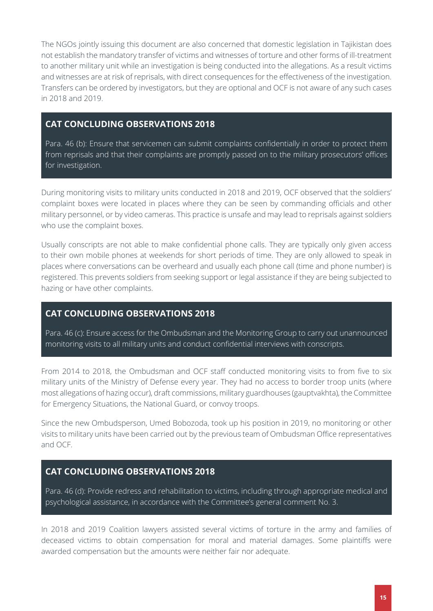The NGOs jointly issuing this document are also concerned that domestic legislation in Tajikistan does not establish the mandatory transfer of victims and witnesses of torture and other forms of ill-treatment to another military unit while an investigation is being conducted into the allegations. As a result victims and witnesses are at risk of reprisals, with direct consequences for the effectiveness of the investigation. Transfers can be ordered by investigators, but they are optional and OCF is not aware of any such cases in 2018 and 2019.

#### **CAT CONCLUDING OBSERVATIONS 2018**

Para. 46 (b): Ensure that servicemen can submit complaints confidentially in order to protect them from reprisals and that their complaints are promptly passed on to the military prosecutors' offices for investigation.

During monitoring visits to military units conducted in 2018 and 2019, OCF observed that the soldiers' complaint boxes were located in places where they can be seen by commanding officials and other military personnel, or by video cameras. This practice is unsafe and may lead to reprisals against soldiers who use the complaint boxes.

Usually conscripts are not able to make confidential phone calls. They are typically only given access to their own mobile phones at weekends for short periods of time. They are only allowed to speak in places where conversations can be overheard and usually each phone call (time and phone number) is registered. This prevents soldiers from seeking support or legal assistance if they are being subjected to hazing or have other complaints.

#### **CAT CONCLUDING OBSERVATIONS 2018**

Para. 46 (c): Ensure access for the Ombudsman and the Monitoring Group to carry out unannounced monitoring visits to all military units and conduct confidential interviews with conscripts.

From 2014 to 2018, the Ombudsman and OCF staff conducted monitoring visits to from five to six military units of the Ministry of Defense every year. They had no access to border troop units (where most allegations of hazing occur), draft commissions, military guardhouses (gauptvakhta), the Committee for Emergency Situations, the National Guard, or convoy troops.

Since the new Ombudsperson, Umed Bobozoda, took up his position in 2019, no monitoring or other visits to military units have been carried out by the previous team of Ombudsman Office representatives and OCF.

#### **CAT CONCLUDING OBSERVATIONS 2018**

Para. 46 (d): Provide redress and rehabilitation to victims, including through appropriate medical and psychological assistance, in accordance with the Committee's general comment No. 3.

In 2018 and 2019 Coalition lawyers assisted several victims of torture in the army and families of deceased victims to obtain compensation for moral and material damages. Some plaintiffs were awarded compensation but the amounts were neither fair nor adequate.